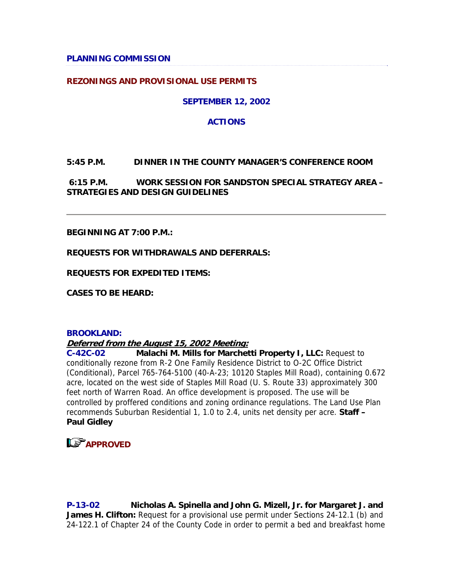### **REZONINGS AND PROVISIONAL USE PERMITS**

### **SEPTEMBER 12, 2002**

### **ACTIONS**

### **5:45 P.M. DINNER IN THE COUNTY MANAGER'S CONFERENCE ROOM**

 **6:15 P.M. WORK SESSION FOR SANDSTON SPECIAL STRATEGY AREA – STRATEGIES AND DESIGN GUIDELINES**

**BEGINNING AT 7:00 P.M.:** 

**REQUESTS FOR WITHDRAWALS AND DEFERRALS:** 

**REQUESTS FOR EXPEDITED ITEMS:** 

**CASES TO BE HEARD:** 

#### **BROOKLAND:**

#### **Deferred from the August 15, 2002 Meeting:**

**C-42C-02 Malachi M. Mills for Marchetti Property I, LLC:** Request to conditionally rezone from R-2 One Family Residence District to O-2C Office District (Conditional), Parcel 765-764-5100 (40-A-23; 10120 Staples Mill Road), containing 0.672 acre, located on the west side of Staples Mill Road (U. S. Route 33) approximately 300 feet north of Warren Road. An office development is proposed. The use will be controlled by proffered conditions and zoning ordinance regulations. The Land Use Plan recommends Suburban Residential 1, 1.0 to 2.4, units net density per acre. **Staff – Paul Gidley**

### **LS** APPROVED

**P-13-02 Nicholas A. Spinella and John G. Mizell, Jr. for Margaret J. and James H. Clifton:** Request for a provisional use permit under Sections 24-12.1 (b) and 24-122.1 of Chapter 24 of the County Code in order to permit a bed and breakfast home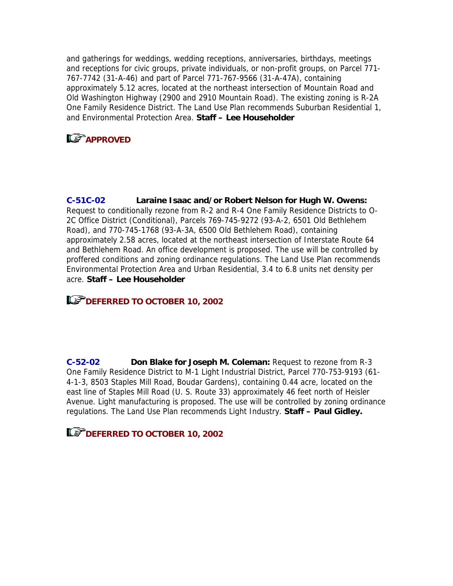and gatherings for weddings, wedding receptions, anniversaries, birthdays, meetings and receptions for civic groups, private individuals, or non-profit groups, on Parcel 771- 767-7742 (31-A-46) and part of Parcel 771-767-9566 (31-A-47A), containing approximately 5.12 acres, located at the northeast intersection of Mountain Road and Old Washington Highway (2900 and 2910 Mountain Road). The existing zoning is R-2A One Family Residence District. The Land Use Plan recommends Suburban Residential 1, and Environmental Protection Area. **Staff – Lee Householder**



**C-51C-02 Laraine Isaac and/or Robert Nelson for Hugh W. Owens:** Request to conditionally rezone from R-2 and R-4 One Family Residence Districts to O-2C Office District (Conditional), Parcels 769-745-9272 (93-A-2, 6501 Old Bethlehem Road), and 770-745-1768 (93-A-3A, 6500 Old Bethlehem Road), containing approximately 2.58 acres, located at the northeast intersection of Interstate Route 64 and Bethlehem Road. An office development is proposed. The use will be controlled by proffered conditions and zoning ordinance regulations. The Land Use Plan recommends Environmental Protection Area and Urban Residential, 3.4 to 6.8 units net density per acre. **Staff – Lee Householder**

## **DEFERRED TO OCTOBER 10, 2002**

**C-52-02 Don Blake for Joseph M. Coleman:** Request to rezone from R-3 One Family Residence District to M-1 Light Industrial District, Parcel 770-753-9193 (61- 4-1-3, 8503 Staples Mill Road, Boudar Gardens), containing 0.44 acre, located on the east line of Staples Mill Road (U. S. Route 33) approximately 46 feet north of Heisler Avenue. Light manufacturing is proposed. The use will be controlled by zoning ordinance regulations. The Land Use Plan recommends Light Industry. **Staff – Paul Gidley.**

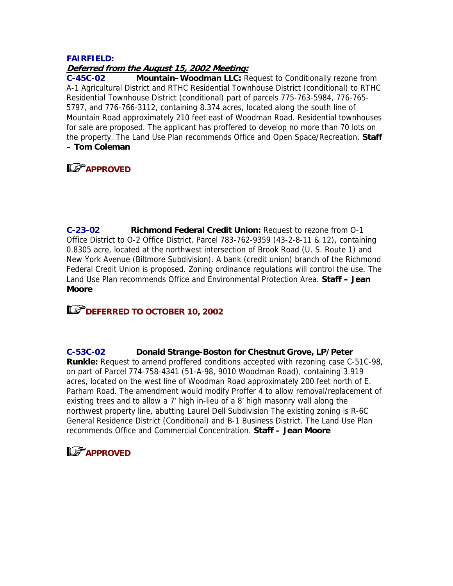### **FAIRFIELD:**

### **Deferred from the August 15, 2002 Meeting:**

**C-45C-02 Mountain–Woodman LLC:** Request to Conditionally rezone from A-1 Agricultural District and RTHC Residential Townhouse District (conditional) to RTHC Residential Townhouse District (conditional) part of parcels 775-763-5984, 776-765- 5797, and 776-766-3112, containing 8.374 acres, located along the south line of Mountain Road approximately 210 feet east of Woodman Road. Residential townhouses for sale are proposed. The applicant has proffered to develop no more than 70 lots on the property. The Land Use Plan recommends Office and Open Space/Recreation. **Staff – Tom Coleman**

## **APPROVED**

**C-23-02 Richmond Federal Credit Union:** Request to rezone from O-1 Office District to O-2 Office District, Parcel 783-762-9359 (43-2-8-11 & 12), containing 0.8305 acre, located at the northwest intersection of Brook Road (U. S. Route 1) and New York Avenue (Biltmore Subdivision). A bank (credit union) branch of the Richmond Federal Credit Union is proposed. Zoning ordinance regulations will control the use. The Land Use Plan recommends Office and Environmental Protection Area. **Staff – Jean Moore**

### **ILP DEFERRED TO OCTOBER 10, 2002**

**C-53C-02 Donald Strange-Boston for Chestnut Grove, LP/Peter** 

**Runkle:** Request to amend proffered conditions accepted with rezoning case C-51C-98, on part of Parcel 774-758-4341 (51-A-98, 9010 Woodman Road), containing 3.919 acres, located on the west line of Woodman Road approximately 200 feet north of E. Parham Road. The amendment would modify Proffer 4 to allow removal/replacement of existing trees and to allow a 7' high in-lieu of a 8' high masonry wall along the northwest property line, abutting Laurel Dell Subdivision The existing zoning is R-6C General Residence District (Conditional) and B-1 Business District. The Land Use Plan recommends Office and Commercial Concentration. **Staff – Jean Moore**

# **LE<sup>P</sup>APPROVED**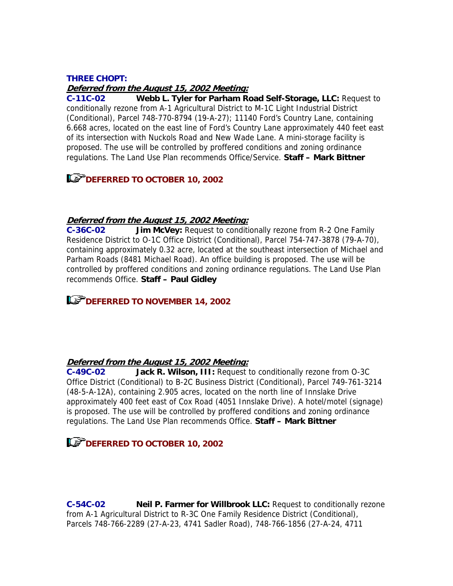### **THREE CHOPT:**

### **Deferred from the August 15, 2002 Meeting:**

**C-11C-02 Webb L. Tyler for Parham Road Self-Storage, LLC:** Request to conditionally rezone from A-1 Agricultural District to M-1C Light Industrial District (Conditional), Parcel 748-770-8794 (19-A-27); 11140 Ford's Country Lane, containing 6.668 acres, located on the east line of Ford's Country Lane approximately 440 feet east of its intersection with Nuckols Road and New Wade Lane. A mini-storage facility is proposed. The use will be controlled by proffered conditions and zoning ordinance regulations. The Land Use Plan recommends Office/Service. **Staff – Mark Bittner**

### **Le<sup>P</sup>DEFERRED TO OCTOBER 10, 2002**

### **Deferred from the August 15, 2002 Meeting:**

**C-36C-02 Jim McVey:** Request to conditionally rezone from R-2 One Family Residence District to O-1C Office District (Conditional), Parcel 754-747-3878 (79-A-70), containing approximately 0.32 acre, located at the southeast intersection of Michael and Parham Roads (8481 Michael Road). An office building is proposed. The use will be controlled by proffered conditions and zoning ordinance regulations. The Land Use Plan recommends Office. **Staff – Paul Gidley**

## **DEFERRED TO NOVEMBER 14, 2002**

### **Deferred from the August 15, 2002 Meeting:**

**C-49C-02 Jack R. Wilson, III:** Request to conditionally rezone from O-3C Office District (Conditional) to B-2C Business District (Conditional), Parcel 749-761-3214 (48-5-A-12A), containing 2.905 acres, located on the north line of Innslake Drive approximately 400 feet east of Cox Road (4051 Innslake Drive). A hotel/motel (signage) is proposed. The use will be controlled by proffered conditions and zoning ordinance regulations. The Land Use Plan recommends Office. **Staff – Mark Bittner**

### **Le<sup>P</sup> DEFERRED TO OCTOBER 10, 2002**

**C-54C-02 Neil P. Farmer for Willbrook LLC:** Request to conditionally rezone from A-1 Agricultural District to R-3C One Family Residence District (Conditional), Parcels 748-766-2289 (27-A-23, 4741 Sadler Road), 748-766-1856 (27-A-24, 4711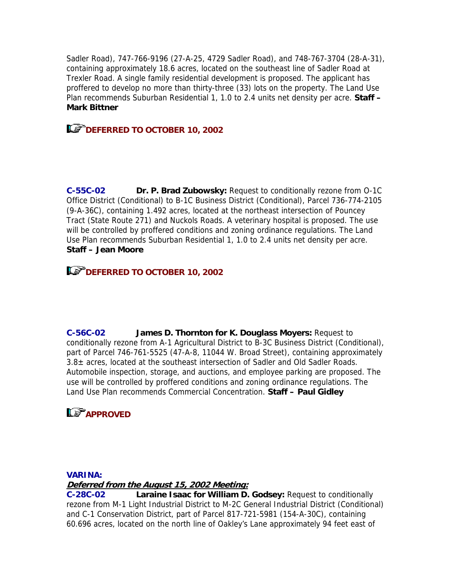Sadler Road), 747-766-9196 (27-A-25, 4729 Sadler Road), and 748-767-3704 (28-A-31), containing approximately 18.6 acres, located on the southeast line of Sadler Road at Trexler Road. A single family residential development is proposed. The applicant has proffered to develop no more than thirty-three (33) lots on the property. The Land Use Plan recommends Suburban Residential 1, 1.0 to 2.4 units net density per acre. **Staff – Mark Bittner**

## **LET DEFERRED TO OCTOBER 10, 2002**

**C-55C-02 Dr. P. Brad Zubowsky:** Request to conditionally rezone from O-1C Office District (Conditional) to B-1C Business District (Conditional), Parcel 736-774-2105 (9-A-36C), containing 1.492 acres, located at the northeast intersection of Pouncey Tract (State Route 271) and Nuckols Roads. A veterinary hospital is proposed. The use will be controlled by proffered conditions and zoning ordinance regulations. The Land Use Plan recommends Suburban Residential 1, 1.0 to 2.4 units net density per acre. **Staff – Jean Moore**

## **LET DEFERRED TO OCTOBER 10, 2002**

**C-56C-02 James D. Thornton for K. Douglass Moyers:** Request to conditionally rezone from A-1 Agricultural District to B-3C Business District (Conditional), part of Parcel 746-761-5525 (47-A-8, 11044 W. Broad Street), containing approximately 3.8± acres, located at the southeast intersection of Sadler and Old Sadler Roads. Automobile inspection, storage, and auctions, and employee parking are proposed. The use will be controlled by proffered conditions and zoning ordinance regulations. The Land Use Plan recommends Commercial Concentration. **Staff – Paul Gidley**

# **LS** APPROVED

#### **VARINA:**

### **Deferred from the August 15, 2002 Meeting:**

**C-28C-02 Laraine Isaac for William D. Godsey:** Request to conditionally rezone from M-1 Light Industrial District to M-2C General Industrial District (Conditional) and C-1 Conservation District, part of Parcel 817-721-5981 (154-A-30C), containing 60.696 acres, located on the north line of Oakley's Lane approximately 94 feet east of